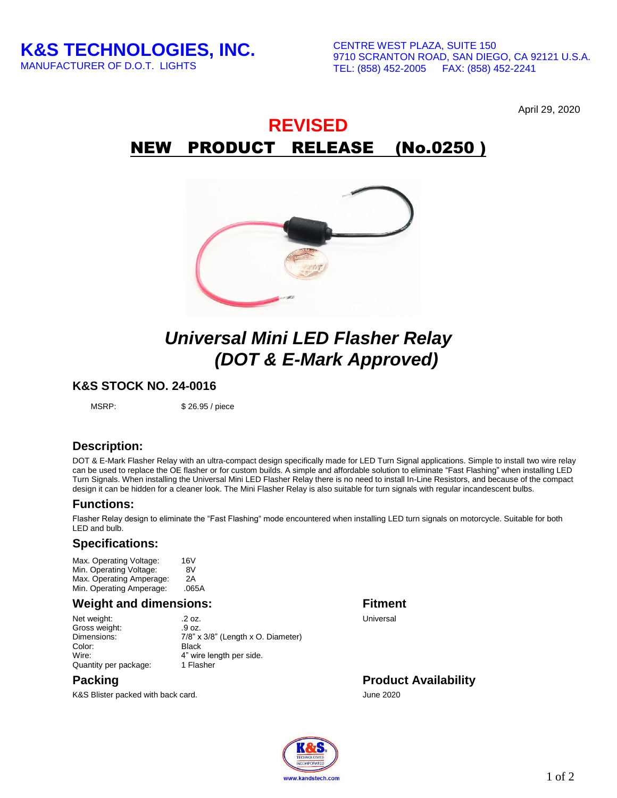April 29, 2020

## **REVISED** NEW PRODUCT RELEASE (No.0250 )



# *Universal Mini LED Flasher Relay (DOT & E-Mark Approved)*

#### **K&S STOCK NO. 24-0016**

MSRP: \$26.95 / piece

### **Description:**

DOT & E-Mark Flasher Relay with an ultra-compact design specifically made for LED Turn Signal applications. Simple to install two wire relay can be used to replace the OE flasher or for custom builds. A simple and affordable solution to eliminate "Fast Flashing" when installing LED Turn Signals. When installing the Universal Mini LED Flasher Relay there is no need to install In-Line Resistors, and because of the compact design it can be hidden for a cleaner look. The Mini Flasher Relay is also suitable for turn signals with regular incandescent bulbs.

#### **Functions:**

Flasher Relay design to eliminate the "Fast Flashing" mode encountered when installing LED turn signals on motorcycle. Suitable for both LED and bulb.

#### **Specifications:**

Max. Operating Voltage: 16V<br>Min. Operating Voltage: 8V Min. Operating Voltage: Max. Operating Amperage: 2A<br>Min. Operating Amperage: .065A Min. Operating Amperage:

#### **Weight and dimensions: Fitment**

Net weight: .2 oz. Universal Gross weight: .9 oz.  $7/8"$  x  $3/8"$  (Length x O. Diameter) Color: Black<br>Wire: 4" wire 4" wire length per side.<br>1 Flasher Quantity per package:

K&S Blister packed with back card. June 2020

**Packing Product Availability**